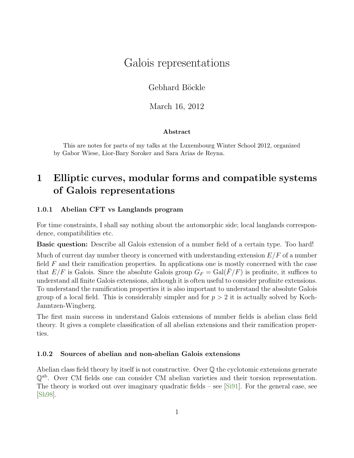# Galois representations

Gebhard Böckle

March 16, 2012

## Abstract

This are notes for parts of my talks at the Luxembourg Winter School 2012, organized by Gabor Wiese, Lior-Bary Soroker and Sara Arias de Reyna.

# 1 Elliptic curves, modular forms and compatible systems of Galois representations

## 1.0.1 Abelian CFT vs Langlands program

For time constraints, I shall say nothing about the automorphic side; local langlands correspondence, compatibilities etc.

Basic question: Describe all Galois extension of a number field of a certain type. Too hard!

Much of current day number theory is concerned with understanding extension  $E/F$  of a number field  $F$  and their ramification properties. In applications one is mostly concerned with the case that  $E/F$  is Galois. Since the absolute Galois group  $G_F = \text{Gal}(F/F)$  is profinite, it suffices to understand all finite Galois extensions, although it is often useful to consider profinite extensions. To understand the ramification properties it is also important to understand the absolute Galois group of a local field. This is considerably simpler and for  $p > 2$  it is actually solved by Koch-Janntzen-Wingberg.

The first main success in understand Galois extensions of number fields is abelian class field theory. It gives a complete classification of all abelian extensions and their ramification properties.

## 1.0.2 Sources of abelian and non-abelian Galois extensions

Abelian class field theory by itself is not constructive. Over  $\mathbb Q$  the cyclotomic extensions generate Qab. Over CM fields one can consider CM abelian varieties and their torsion representation. The theory is worked out over imaginary quadratic fields – see [\[Si91\]](#page-22-0). For the general case, see [\[Sh98\]](#page-22-1).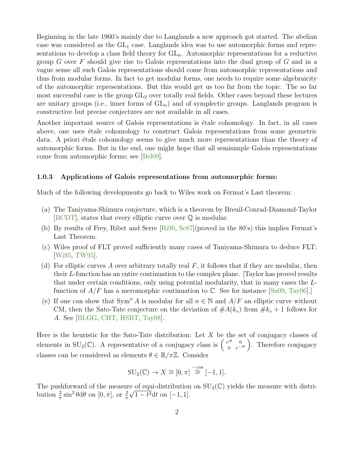Beginning in the late 1960's mainly due to Langlands a new approach got started. The abelian case was considered as the  $GL<sub>1</sub>$  case. Langlands idea was to use automorphic forms and representations to develop a class field theory for  $GL_n$ . Automorphic representations for a reductive group G over F should give rise to Galois representations into the dual group of G and in a vague sense all such Galois representations should come from automorphic representations and thus from modular forms. In fact to get modular forms, one needs to require some algebraicity of the automorphic representations. But this would get us too far from the topic. The so far most successful case is the group  $GL_2$  over totally real fields. Other cases beyond these lectures are unitary groups (i.e., inner forms of  $GL_n$ ) and of symplectic groups. Langlands program is constructive but precise conjectures are not available in all cases.

Another important source of Galois representations is *étale cohomology*. In fact, in all cases above, one uses  $\acute{e}$ tale cohomology to construct Galois representations from some geometric data. A priori étale cohomology seems to give much more representations than the theory of automorphic forms. But in the end, one might hope that all semisimple Galois representations come from automorphic forms; see [\[Bel09\]](#page-20-0).

#### 1.0.3 Applications of Galois representations from automorphic forms:

Much of the following developments go back to Wiles work on Fermat's Last theorem:

- (a) The Taniyama-Shimura conjecture, which is a theorem by Breuil-Conrad-Diamond-Taylor [\[BCDT\]](#page-20-1), states that every elliptic curve over Q is modular.
- (b) By results of Frey, Ribet and Serre [\[Ri90,](#page-22-2) [Se87\]](#page-22-3)(proved in the 80's) this implies Fermat's Last Theorem.
- (c) Wiles proof of FLT proved sufficiently many cases of Taniyama-Shimura to deduce FLT; [\[Wi95,](#page-23-0) [TW95\]](#page-23-1).
- (d) For elliptic curves A over arbitrary totally real F, it follows that if they are modular, then their L-function has an entire continuation to the complex plane. [Taylor has proved results that under certain conditions, only using potential modularity, that in many cases the Lfunction of  $A/F$  has a meromorphic continuation to  $\mathbb{C}$ . See for instance [\[Sn09,](#page-22-4) [Tay06\]](#page-23-2).
- (e) If one can show that  $Sym^n A$  is modular for all  $n \in \mathbb{N}$  and  $A/F$  an elliptic curve without CM, then the Sato-Tate conjecture on the deviation of  $#A(k_v)$  from  $#k_v + 1$  follows for A. See [\[BLGG,](#page-20-2) [CHT,](#page-20-3) [HSBT,](#page-21-0) [Tay08\]](#page-23-3).

Here is the heuristic for the Sato-Tate distribution: Let  $X$  be the set of conjugacy classes of elements in SU<sub>2</sub>( $\mathbb{C}$ ). A representative of a conjugacy class is  $\begin{pmatrix} e^{i\theta} & 0 \\ 0 & e^{-i\theta} \end{pmatrix}$ . Therefore conjugacy classes can be considered as elements  $\theta \in \mathbb{R}/\pi\mathbb{Z}$ . Consider

$$
SU_2(\mathbb{C}) \to X \cong [0, \pi] \stackrel{-\cos}{\cong} [-1, 1].
$$

The pushforward of the measure of equi-distribution on  $SU_2(\mathbb{C})$  yields the measure with distribution  $\frac{2}{\pi} \sin^2 \theta d\theta$  on  $[0, \pi]$ , or  $\frac{2}{\pi} \sqrt{1 - t^2} dt$  on  $[-1, 1]$ .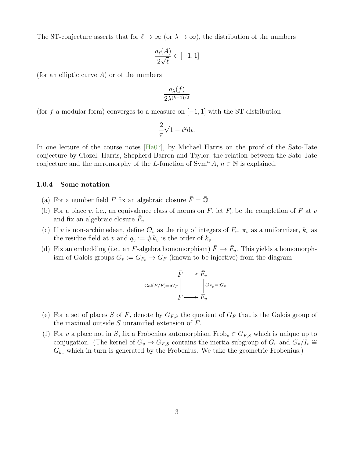The ST-conjecture asserts that for  $\ell \to \infty$  (or  $\lambda \to \infty$ ), the distribution of the numbers

$$
\frac{a_{\ell}(A)}{2\sqrt{\ell}} \in [-1, 1]
$$

(for an elliptic curve  $A$ ) or of the numbers

$$
\frac{a_{\lambda}(f)}{2\lambda^{(k-1)/2}}
$$

(for f a modular form) converges to a measure on  $[-1, 1]$  with the ST-distribution

$$
\frac{2}{\pi}\sqrt{1-t^2}\mathrm{d}t.
$$

In one lecture of the course notes [\[Ha07\]](#page-21-1), by Michael Harris on the proof of the Sato-Tate conjecture by Clozel, Harris, Shepherd-Barron and Taylor, the relation between the Sato-Tate conjecture and the meromorphy of the L-function of  $\text{Sym}^n A$ ,  $n \in \mathbb{N}$  is explained.

#### 1.0.4 Some notation

- (a) For a number field F fix an algebraic closure  $\bar{F} = \bar{Q}$ .
- (b) For a place v, i.e., an equivalence class of norms on  $F$ , let  $F_v$  be the completion of  $F$  at v and fix an algebraic closure  $\bar{F}_v$ .
- (c) If v is non-archimedean, define  $\mathcal{O}_v$  as the ring of integers of  $F_v$ ,  $\pi_v$  as a uniformizer,  $k_v$  as the residue field at v and  $q_v := \# k_v$  is the order of  $k_v$ .
- (d) Fix an embedding (i.e., an F-algebra homomorphism)  $\bar{F} \hookrightarrow \bar{F}_v$ . This yields a homomorphism of Galois groups  $G_v := G_{F_v} \to G_F$  (known to be injective) from the diagram

$$
\begin{array}{ccc}\n\bar{F} & \longrightarrow & \bar{F}_v \\
\text{Gal}(\bar{F}/F) =: & G_F \\
 & & \bigg| G_{F_v} =: & G_v \\
 & & F \longrightarrow & F_v\n\end{array}
$$

- (e) For a set of places S of F, denote by  $G_{FS}$  the quotient of  $G_F$  that is the Galois group of the maximal outside  $S$  unramified extension of  $F$ .
- (f) For v a place not in S, fix a Frobenius automorphism  $Frob_v \in G_{F,S}$  which is unique up to conjugation. (The kernel of  $G_v \to G_{F,S}$  contains the inertia subgroup of  $G_v$  and  $G_v/I_v \cong$  $G_{k_v}$  which in turn is generated by the Frobenius. We take the geometric Frobenius.)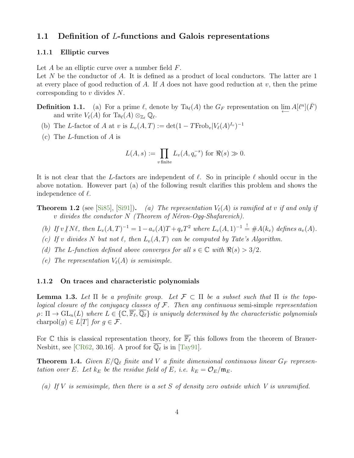## 1.1 Definition of L-functions and Galois representations

#### 1.1.1 Elliptic curves

Let  $A$  be an elliptic curve over a number field  $F$ .

Let  $N$  be the conductor of  $A$ . It is defined as a product of local conductors. The latter are 1 at every place of good reduction of A. If A does not have good reduction at  $v$ , then the prime corresponding to v divides N.

**Definition 1.1.** (a) For a prime  $\ell$ , denote by Ta<sub> $\ell(A)$ </sub> the  $G_F$  representation on  $\varprojlim A[\ell^n](\bar{F})$ and write  $V_{\ell}(A)$  for  ${\rm Ta}_{\ell}(A) \otimes_{{\mathbb Z}_{\ell}} {\mathbb Q}_{\ell}$ .

- (b) The L-factor of A at v is  $L_v(A, T) := det(1 TFrob_v|V_{\ell}(A)^{I_v})^{-1}$
- (c) The *L*-function of  $A$  is

$$
L(A, s) := \prod_{v \text{ finite}} L_v(A, q_v^{-s}) \text{ for } \Re(s) \gg 0.
$$

It is not clear that the L-factors are independent of  $\ell$ . So in principle  $\ell$  should occur in the above notation. However part (a) of the following result clarifies this problem and shows the independence of  $\ell$ .

- **Theorem 1.2** (see [\[Si85\]](#page-22-5), [\[Si91\]](#page-22-0)). (a) The representation  $V_{\ell}(A)$  is ramified at v if and only if  $v$  divides the conductor  $N$  (Theorem of Néron-Ogg-Shafarevich).
	- (b) If  $v \nmid N \ell$ , then  $L_v(A, T)^{-1} = 1 a_v(A)T + q_vT^2$  where  $L_v(A, 1)^{-1} = \#A(k_v)$  defines  $a_v(A)$ .
	- (c) If v divides N but not  $\ell$ , then  $L_v(A, T)$  can be computed by Tate's Algorithm.
	- (d) The L-function defined above converges for all  $s \in \mathbb{C}$  with  $\Re(s) > 3/2$ .
	- (e) The representation  $V_{\ell}(A)$  is semisimple.

#### 1.1.2 On traces and characteristic polynomials

<span id="page-3-0"></span>**Lemma 1.3.** Let  $\Pi$  be a profinite group. Let  $\mathcal{F} \subset \Pi$  be a subset such that  $\Pi$  is the topological closure of the conjugacy classes of  $F$ . Then any continuous semi-simple representation  $\rho: \Pi \to \mathrm{GL}_n(L)$  where  $L \in \{ \mathbb{C}, \overline{\mathbb{F}_\ell}, \overline{\mathbb{Q}_\ell} \}$  is uniquely determined by the characteristic polynomials charpol $(q) \in L[T]$  for  $q \in \mathcal{F}$ .

For  $\mathbb C$  this is classical representation theory, for  $\overline{\mathbb F}_\ell$  this follows from the theorem of Brauer-Nesbitt, see [\[CR62,](#page-21-2) 30.16]. A proof for  $\overline{\mathbb{Q}_\ell}$  is in [\[Tay91\]](#page-23-4).

**Theorem 1.4.** Given  $E/\mathbb{Q}_{\ell}$  finite and V a finite dimensional continuous linear  $G_F$  representation over E. Let  $k_E$  be the residue field of E, i.e.  $k_E = \mathcal{O}_E/\mathfrak{m}_E$ .

(a) If V is semisimple, then there is a set S of density zero outside which V is unramified.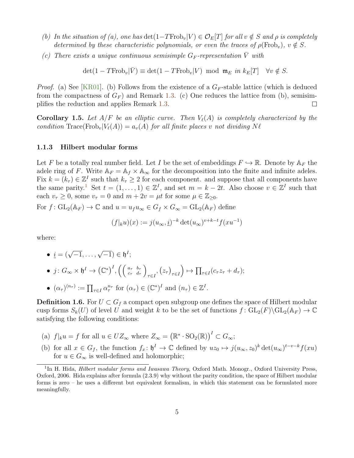- (b) In the situation of (a), one has  $\det(1-TFrob_v|V) \in \mathcal{O}_E[T]$  for all  $v \notin S$  and  $\rho$  is completely determined by these characteristic polynomials, or even the traces of  $\rho(\text{Frob}_v)$ ,  $v \notin S$ .
- (c) There exists a unique continuous semisimple  $G_F$ -representation  $\overline{V}$  with

 $\det(1 - T \text{Frob}_v | \bar{V}) \equiv \det(1 - T \text{Frob}_v | V) \text{ mod } \mathfrak{m}_E \text{ in } k_E[T] \quad \forall v \notin S.$ 

*Proof.* (a) See [\[KR01\]](#page-21-3). (b) Follows from the existence of a  $G_F$ -stable lattice (which is deduced from the compactness of  $G_F$ ) and Remark [1.3.](#page-3-0) (c) One reduces the lattice from (b), semisimplifies the reduction and applies Remark [1.3.](#page-3-0)  $\Box$ 

**Corollary 1.5.** Let  $A/F$  be an elliptic curve. Then  $V_{\ell}(A)$  is completely characterized by the condition  $\text{Trace}(\text{Frob}_v|V_\ell(A)) = a_v(A)$  for all finite places v not dividing  $N \ell$ 

#### 1.1.3 Hilbert modular forms

Let F be a totally real number field. Let I be the set of embeddings  $F \hookrightarrow \mathbb{R}$ . Denote by  $\mathbb{A}_F$  the adele ring of F. Write  $A_F = A_f \times A_\infty$  for the decomposition into the finite and infinite adeles. Fix  $k = (k_\tau) \in \mathbb{Z}^I$  such that  $k_\tau \geq 2$  for each component. and suppose that all components have the same parity.<sup>[1](#page-4-0)</sup> Set  $t = (1, \ldots, 1) \in \mathbb{Z}^I$ , and set  $m = k - 2t$ . Also choose  $v \in \mathbb{Z}^I$  such that each  $v_\tau \geq 0$ , some  $v_\tau = 0$  and  $m + 2v = \mu t$  for some  $\mu \in \mathbb{Z}_{\geq 0}$ .

For  $f: GL_2(\mathbb{A}_F) \to \mathbb{C}$  and  $u = u_f u_\infty \in G_f \times G_\infty = GL_2(\mathbb{A}_F)$  define

$$
(f|_{k}u)(x) := j(u_{\infty}, \underline{i})^{-k} \det(u_{\infty})^{v+k-t} f(xu^{-1})
$$

where:

$$
\bullet \ \underline{i}=(\sqrt{-1},\ldots,\sqrt{-1})\in \mathfrak{h}^I;
$$

- $\bullet$  j:  $G_{\infty} \times \mathfrak{h}^I \to \left(\mathbb{C}^*\right)^I$ ,  $\left(\left(\begin{smallmatrix} a_{\tau} & b_{\tau} \ c_{\tau} & d_{\tau} \end{smallmatrix}\right)\right)$  $\int_{\tau \in I}$ ,  $(z_{\tau})_{\tau \in I}$  $\Big) \mapsto \prod_{\tau \in I} (c_{\tau} z_{\tau} + d_{\tau});$
- $(\alpha_{\tau})^{(n_{\tau})} := \prod_{\tau \in I} \alpha_{\tau}^{n_{\tau}}$  for  $(\alpha_{\tau}) \in (\mathbb{C}^*)^I$  and  $(n_{\tau}) \in \mathbb{Z}^I$ .

**Definition 1.6.** For  $U \subset G_f$  a compact open subgroup one defines the space of Hilbert modular cusp forms  $S_k(U)$  of level U and weight k to be the set of functions  $f: GL_2(F) \backslash GL_2(\mathbb{A}_F) \to \mathbb{C}$ satisfying the following conditions:

- (a)  $f|_k u = f$  for all  $u \in UZ_\infty$  where  $Z_\infty = (\mathbb{R}^* \cdot \text{SO}_2(\mathbb{R}))^I \subset G_\infty$ ;
- (b) for all  $x \in G_f$ , the function  $f_x: \mathfrak{h}^I \to \mathbb{C}$  defined by  $uz_0 \mapsto j(u_\infty, z_0)^k \det(u_\infty)^{t-v-k} f(xu)$ for  $u \in G_{\infty}$  is well-defined and holomorphic;

<span id="page-4-0"></span><sup>&</sup>lt;sup>1</sup>In H. Hida, *Hilbert modular forms and Iwasawa Theory*, Oxford Math. Monogr., Oxford University Press, Oxford, 2006. Hida explains after formula (2.3.9) why without the parity condition, the space of Hilbert modular forms is zero – he uses a different but equivalent formalism, in which this statement can be formulated more meaningfully.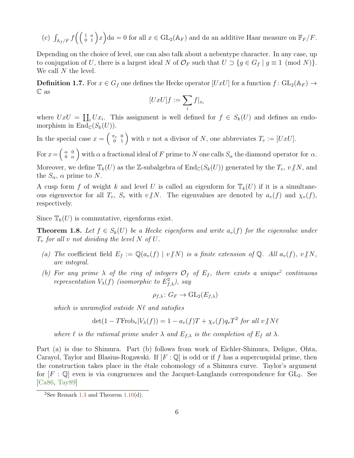(c)  $\int_{\mathbb{A}_f/F} f\left(\begin{pmatrix} 1 & a \\ 0 & 1 \end{pmatrix}x\right) da = 0$  for all  $x \in GL_2(\mathbb{A}_F)$  and da an additive Haar measure on  $\mathbb{F}_F/F$ .

Depending on the choice of level, one can also talk about a nebentype character. In any case, up to conjugation of U, there is a largest ideal N of  $\mathcal{O}_F$  such that  $U \supset \{g \in G_f \mid g \equiv 1 \pmod{N}\}.$ We call N the level.

**Definition 1.7.** For  $x \in G_f$  one defines the Hecke operator  $[UxU]$  for a function  $f: GL_2(\mathbb{A}_F) \to$ C as

$$
[UxU]f := \sum_i f|_{x_i}
$$

where  $UxU = \coprod_i Ux_i$ . This assignment is well defined for  $f \in S_k(U)$  and defines an endomorphism in  $\text{End}_{\mathbb{C}}(S_k(U))$ .

In the special case  $x = \begin{pmatrix} \pi_v & 0 \\ 0 & 1 \end{pmatrix}$  with v not a divisor of N, one abbreviates  $T_v := [UxU]$ .

For  $x = \begin{pmatrix} \alpha & 0 \\ 0 & \alpha \end{pmatrix}$  $\begin{pmatrix} \alpha & 0 \\ 0 & \alpha \end{pmatrix}$  with  $\alpha$  a fractional ideal of F prime to N one calls  $S_{\alpha}$  the diamond operator for  $\alpha$ . Moreover, we define  $\mathbb{T}_k(U)$  as the Z-subalgebra of  $\text{End}_{\mathbb{C}}(S_k(U))$  generated by the  $T_v$ ,  $v/N$ , and the  $S_{\alpha}$ ,  $\alpha$  prime to N.

A cusp form f of weight k and level U is called an eigenform for  $\mathbb{T}_{k}(U)$  if it is a simultaneous eigenvector for all  $T_v$ ,  $S_v$  with  $v/N$ . The eigenvalues are denoted by  $a_v(f)$  and  $\chi_v(f)$ , respectively.

Since  $\mathbb{T}_{k}(U)$  is commutative, eigenforms exist.

**Theorem 1.8.** Let  $f \in S_k(U)$  be a Hecke eigenform and write  $a_v(f)$  for the eigenvalue under  $T_v$  for all v not dividing the level N of U.

- (a) The coefficient field  $E_f := \mathbb{Q}(a_v(f) \mid v/N)$  is a finite extension of  $\mathbb{Q}$ . All  $a_v(f)$ ,  $v/N$ , are integral.
- (b) For any prime  $\lambda$  of the ring of integers  $\mathcal{O}_f$  of  $E_f$ , there exists a unique<sup>[2](#page-5-0)</sup> continuous representation  $V_{\lambda}(f)$  (isomorphic to  $E^{2}_{f,\lambda}$ ), say

$$
\rho_{f,\lambda} \colon G_F \to \mathrm{GL}_2(E_{f,\lambda})
$$

which is unramified outside  $N\ell$  and satisfies

$$
\det(1 - T \text{Frob}_v | V_\lambda(f)) = 1 - a_v(f)T + \chi_v(f)q_vT^2 \text{ for all } v \text{ is } N\ell
$$

where  $\ell$  is the rational prime under  $\lambda$  and  $E_{f,\lambda}$  is the completion of  $E_f$  at  $\lambda$ .

Part (a) is due to Shimura. Part (b) follows from work of Eichler-Shimura, Deligne, Ohta, Carayol, Taylor and Blasius-Rogawski. If  $[F: \mathbb{Q}]$  is odd or if f has a supercuspidal prime, then the construction takes place in the etale cohomology of a Shimura curve. Taylor's argument for  $[F : \mathbb{Q}]$  even is via congruences and the Jacquet-Langlands correspondence for  $GL_2$ . See [\[Ca86,](#page-20-4) [Tay89\]](#page-23-5)

<span id="page-5-0"></span><sup>&</sup>lt;sup>2</sup>See Remark [1.3](#page-3-0) and Theorem  $1.10(d)$  $1.10(d)$ .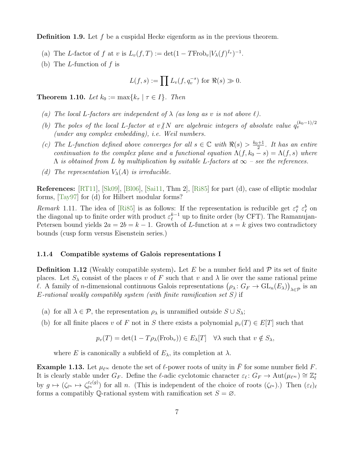**Definition 1.9.** Let  $f$  be a cuspidal Hecke eigenform as in the previous theorem.

- (a) The L-factor of f at v is  $L_v(f,T) := \det(1 T \text{Frob}_v | V_\lambda(f)^{I_v})^{-1}$ .
- (b) The L-function of  $f$  is

$$
L(f,s) := \prod L_v(f, q_v^{-s}) \text{ for } \Re(s) \gg 0.
$$

<span id="page-6-0"></span>**Theorem 1.10.** Let  $k_0 := \max\{k_\tau \mid \tau \in I\}$ . Then

- (a) The local L-factors are independent of  $\lambda$  (as long as v is not above  $\ell$ ).
- (b) The poles of the local L-factor at v $\langle N \rangle$  are algebraic integers of absolute value  $q_v^{(k_0-1)/2}$ (under any complex embedding), i.e. Weil numbers.
- (c) The L-function defined above converges for all  $s \in \mathbb{C}$  with  $\Re(s) > \frac{k_0+1}{2}$  $rac{+1}{2}$ . It has an entire continuation to the complex plane and a functional equation  $\Lambda(f, k_0 - s) = \Lambda(f, s)$  where  $\Lambda$  is obtained from L by multiplication by suitable L-factors at  $\infty$  – see the references.
- (d) The representation  $V_{\lambda}(A)$  is irreducible.

References: [\[RT11\]](#page-22-6), [\[Sk09\]](#page-22-7), [\[Bl06\]](#page-20-5), [\[Sai11,](#page-22-8) Thm 2], [\[Ri85\]](#page-22-9) for part (d), case of elliptic modular forms, [\[Tay97\]](#page-23-6) for (d) for Hilbert modular forms?

Remark 1.11. The idea of [\[Ri85\]](#page-22-9) is as follows: If the representation is reducible get  $\varepsilon_{\ell}^a \varepsilon_{\ell}^b$  on the diagonal up to finite order with product  $\varepsilon_{\ell}^{k-1}$  $\ell^{k-1}$  up to finite order (by CFT). The Ramanujan-Petersen bound yields  $2a = 2b = k - 1$ . Growth of L-function at  $s = k$  gives two contradictory bounds (cusp form versus Eisenstein series.)

## 1.1.4 Compatible systems of Galois representations I

**Definition 1.12** (Weakly compatible system). Let E be a number field and  $\mathcal{P}$  its set of finite places. Let  $S_\lambda$  consist of the places v of F such that v and  $\lambda$  lie over the same rational prime l. A family of *n*-dimensional continuous Galois representations  $(\rho_\lambda: G_F \to \text{GL}_n(E_\lambda))_{\lambda \in \mathcal{P}}$  is an  $E$ -rational weakly compatibly system (with finite ramification set  $S$ ) if

- (a) for all  $\lambda \in \mathcal{P}$ , the representation  $\rho_{\lambda}$  is unramified outside  $S \cup S_{\lambda}$ ;
- (b) for all finite places v of F not in S there exists a polynomial  $p_v(T) \in E[T]$  such that

$$
p_v(T) = \det(1 - T\rho_\lambda(\text{Frob}_v)) \in E_\lambda[T] \quad \forall \lambda \text{ such that } v \notin S_\lambda,
$$

where E is canonically a subfield of  $E_{\lambda}$ , its completion at  $\lambda$ .

**Example 1.13.** Let  $\mu_{\ell^{\infty}}$  denote the set of  $\ell$ -power roots of unity in  $\bar{F}$  for some number field F. It is clearly stable under  $G_F$ . Define the  $\ell$ -adic cyclotomic character  $\varepsilon_\ell: G_F \to \text{Aut}(\mu_{\ell^{\infty}}) \cong \mathbb{Z}_{\ell}^*$ by  $g \mapsto (\zeta_{\ell^n} \mapsto \zeta_{\ell^n}^{\varepsilon_\ell(g)})$  for all n. (This is independent of the choice of roots  $(\zeta_{\ell^n})$ .) Then  $(\varepsilon_{\ell})_{\ell}$ forms a compatibly Q-rational system with ramification set  $S = \emptyset$ .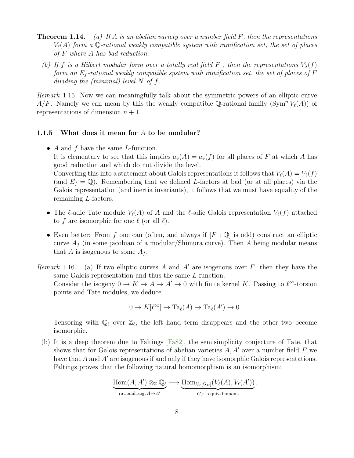- **Theorem 1.14.** (a) If A is an abelian variety over a number field F, then the representations  $V_{\ell}(A)$  form a Q-rational weakly compatible system with ramification set, the set of places of F where A has bad reduction.
	- (b) If f is a Hilbert modular form over a totally real field F, then the representations  $V_{\lambda}(f)$ form an  $E_f$ -rational weakly compatible system with ramification set, the set of places of F dividing the (minimal) level  $N$  of  $f$ .

Remark 1.15. Now we can meaningfully talk about the symmetric powers of an elliptic curve  $A/F$ . Namely we can mean by this the weakly compatible Q-rational family (Sym<sup>n</sup>  $V_{\ell}(A)$ ) of representations of dimension  $n + 1$ .

### 1.1.5 What does it mean for A to be modular?

- $A$  and  $f$  have the same  $L$ -function. It is elementary to see that this implies  $a_v(A) = a_v(f)$  for all places of F at which A has good reduction and which do not divide the level. Converting this into a statement about Galois representations it follows that  $V_{\ell}(A) = V_{\ell}(f)$ (and  $E_f = \mathbb{Q}$ ). Remembering that we defined L-factors at bad (or at all places) via the Galois representation (and inertia invariants), it follows that we must have equality of the remaining L-factors.
- The l-adic Tate module  $V_{\ell}(A)$  of A and the l-adic Galois representation  $V_{\ell}(f)$  attached to f are isomorphic for one  $\ell$  (or all  $\ell$ ).
- Even better: From f one can (often, and always if  $[F: \mathbb{Q}]$  is odd) construct an elliptic curve  $A_f$  (in some jacobian of a modular/Shimura curve). Then A being modular means that A is isogenous to some  $A_f$ .
- Remark 1.16. (a) If two elliptic curves A and A' are isogenous over F, then they have the same Galois representation and thus the same L-function. Consider the isogeny  $0 \to K \to A \to A' \to 0$  with finite kernel K. Passing to  $\ell^{\infty}$ -torsion points and Tate modules, we deduce

$$
0 \to K[\ell^{\infty}] \to Ta_{\ell}(A) \to Ta_{\ell}(A') \to 0.
$$

Tensoring with  $\mathbb{Q}_\ell$  over  $\mathbb{Z}_\ell$ , the left hand term disappears and the other two become isomorphic.

(b) It is a deep theorem due to Faltings [\[Fa82\]](#page-21-4), the semisimplicity conjecture of Tate, that shows that for Galois representations of abelian varieties  $A, A'$  over a number field F we have that  $A$  and  $A'$  are isogenous if and only if they have isomorphic Galois representations. Faltings proves that the following natural homomorphism is an isomorphism:

$$
\underbrace{\mathrm{Hom}(A,A')\otimes_{\mathbb{Z}}\mathbb{Q}_\ell}\longrightarrow \underbrace{\mathrm{Hom}_{\mathbb{Q}_\ell[G_F]}(V_\ell(A),V_\ell(A'))}_{G_F-\text{equiv. homom.}}.
$$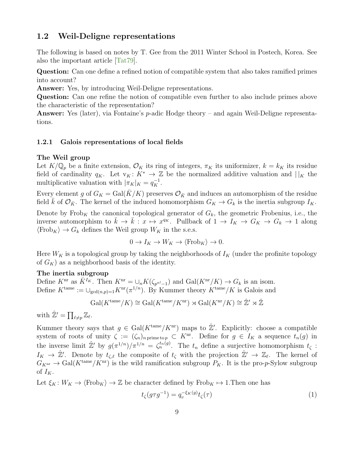## 1.2 Weil-Deligne representations

The following is based on notes by T. Gee from the 2011 Winter School in Postech, Korea. See also the important article [\[Tat79\]](#page-23-7).

Question: Can one define a refined notion of compatible system that also takes ramified primes into account?

Answer: Yes, by introducing Weil-Deligne representations.

Question: Can one refine the notion of compatible even further to also include primes above the characteristic of the representation?

Answer: Yes (later), via Fontaine's p-adic Hodge theory – and again Weil-Deligne representations.

### 1.2.1 Galois representations of local fields

#### The Weil group

Let  $K/\mathbb{Q}_p$  be a finite extension,  $\mathcal{O}_K$  its ring of integers,  $\pi_K$  its uniformizer,  $k = k_K$  its residue field of cardinality  $q_K$ . Let  $v_K: K^* \to \mathbb{Z}$  be the normalized additive valuation and  $\big| \big|_K$  the multiplicative valuation with  $|\pi_K|_K = q_K^{-1}$ .

Every element g of  $G_K = \text{Gal}(\overline{K}/K)$  preserves  $\mathcal{O}_{\overline{K}}$  and induces an automorphism of the residue field k of  $\mathcal{O}_{\bar{K}}$ . The kernel of the induced homomorphism  $G_K \to G_k$  is the inertia subgroup  $I_K$ .

Denote by  $Frob_K$  the canonical topological generator of  $G_k$ , the geometric Frobenius, i.e., the inverse automorphism to  $\bar{k} \to \bar{k} : x \mapsto x^{q_K}$ . Pullback of  $1 \to I_K \to G_K \to G_k \to 1$  along  $\langle \text{Frob}_K \rangle \to G_k$  defines the Weil group  $W_K$  in the s.e.s.

$$
0 \to I_K \to W_K \to \langle \text{Frob}_K \rangle \to 0.
$$

Here  $W_K$  is a topological group by taking the neighborhoods of  $I_K$  (under the profinite topology of  $G_K$ ) as a neighborhood basis of the identity.

## The inertia subgroup

Define  $K^{\text{nr}}$  as  $\bar{K}^{I_K}$ . Then  $K^{\text{nr}} = \cup_n K(\zeta_{p^{n!}-1})$  and  $Gal(K^{\text{nr}}/K) \to G_k$  is an isom. Define  $K^{\text{tame}} := \cup_{\gcd(n,p)=1} K^{\text{nr}}(\pi^{1/n})$ . By Kummer theory  $K^{\text{tame}}/K$  is Galois and

$$
\operatorname{Gal}(K^{\text{tame}}/K) \cong \operatorname{Gal}(K^{\text{tame}}/K^{\text{nr}}) \rtimes \operatorname{Gal}(K^{\text{nr}}/K) \cong \mathbb{Z}' \rtimes \mathbb{Z}
$$

with  $\hat{\mathbb{Z}}' = \prod_{\ell \neq p} \mathbb{Z}_{\ell}$ .

Kummer theory says that  $g \in \text{Gal}(K^{\text{tame}}/K^{\text{nr}})$  maps to  $\hat{\mathbb{Z}}'$ . Explicitly: choose a compatible system of roots of unity  $\zeta := (\zeta_n)_{n \text{ prime top}} \subset K^{\text{nr}}$ . Define for  $g \in I_K$  a sequence  $t_n(g)$  in the inverse limit  $\hat{\mathbb{Z}}'$  by  $g(\pi^{1/n})/\pi^{1/n} = \zeta_n^{t_n(g)}$ . The  $t_n$  define a surjective homomorphism  $t_{\zeta}$ :  $I_K \to \hat{\mathbb{Z}}'$ . Denote by  $t_{\zeta,\ell}$  the composite of  $t_{\zeta}$  with the projection  $\hat{\mathbb{Z}}' \to \mathbb{Z}_{\ell}$ . The kernel of  $G_{K^{\text{nr}}} \to \text{Gal}(K^{\text{tame}}/K^{\text{nr}})$  is the wild ramification subgroup  $P_K$ . It is the pro-p-Sylow subgroup of  $I_K$ .

Let  $\xi_K : W_K \to \langle \text{Frob}_K \rangle \to \mathbb{Z}$  be character defined by  $\text{Frob}_K \mapsto 1$ . Then one has

<span id="page-8-0"></span>
$$
t_{\zeta}(g\tau g^{-1}) = q_v^{-\xi_K(g)} t_{\zeta}(\tau)
$$
\n(1)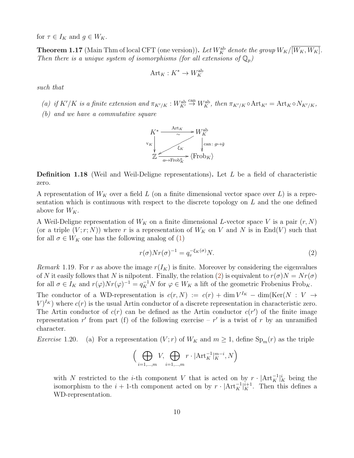for  $\tau \in I_K$  and  $g \in W_K$ .

**Theorem 1.17** (Main Thm of local CFT (one version)). Let  $W_K^{\text{ab}}$  denote the group  $W_K/[\overline{W_K,W_K}]$ . Then there is a unique system of isomorphisms (for all extensions of  $\mathbb{Q}_p$ )

$$
\mathrm{Art}_K:K^*\to W_K^{\mathrm{ab}}
$$

such that

(a) if  $K'/K$  is a finite extension and  $\pi_{K'/K}: W_K^{\text{ab}} \stackrel{\text{can}}{\rightarrow} W_K^{\text{ab}}$ , then  $\pi_{K'/K} \circ \text{Art}_{K'} = \text{Art}_K \circ N_{K'/K}$ ,

(b) and we have a commutative square



**Definition 1.18** (Weil and Weil-Deligne representations). Let  $L$  be a field of characteristic zero.

A representation of  $W_K$  over a field L (on a finite dimensional vector space over L) is a representation which is continuous with respect to the discrete topology on  $L$  and the one defined above for  $W_K$ .

A Weil-Deligne representation of  $W_K$  on a finite dimensional L-vector space V is a pair  $(r, N)$ (or a triple  $(V; r; N)$ ) where r is a representation of  $W_K$  on V and N is in End(V) such that for all  $\sigma \in W_K$  one has the following analog of [\(1\)](#page-8-0)

<span id="page-9-0"></span>
$$
r(\sigma)Nr(\sigma)^{-1} = q_v^{-\xi_K(\sigma)}N.
$$
\n(2)

Remark 1.19. For r as above the image  $r(I_K)$  is finite. Moreover by considering the eigenvalues of N it easily follows that N is nilpotent. Finally, the relation [\(2\)](#page-9-0) is equivalent to  $r(\sigma)N = Nr(\sigma)$ for all  $\sigma \in I_K$  and  $r(\varphi)Nr(\varphi)^{-1} = q_K^{-1}N$  for  $\varphi \in W_K$  a lift of the geometric Frobenius Frob<sub>K</sub>. The conductor of a WD-representation is  $c(r, N) := c(r) + \dim V^{I_K} - \dim(\text{Ker}(N : V \to$  $V$ <sup>Ik</sup>) where  $c(r)$  is the usual Artin conductor of a discrete representation in characteristic zero. The Artin conductor of  $c(r)$  can be defined as the Artin conductor  $c(r')$  of the finite image representation r' from part (f) of the following exercise – r' is a twist of r by an unramified character.

*Exercise* 1.20. (a) For a representation  $(V; r)$  of  $W_K$  and  $m \geq 1$ , define  $\text{Sp}_m(r)$  as the triple

$$
\Big(\bigoplus_{i=1,\dots,m} V, \bigoplus_{i=1,\dots,m} r \cdot |\text{Art}_{K}^{-1}|_{K}^{m-i}, N\Big)
$$

with N restricted to the *i*-th component V that is acted on by  $r \cdot |Art_K^{-1}|_K^i$  being the isomorphism to the  $i + 1$ -th component acted on by  $r \cdot |Art_K^{-1}|_K^{i+1}$ . Then this defines a WD-representation.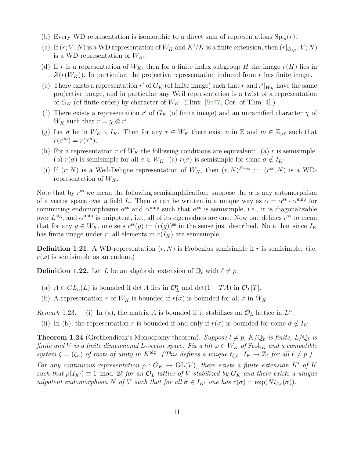- (b) Every WD representation is isomorphic to a direct sum of representations  $\text{Sp}_m(r)$ .
- (c) If  $(r; V; N)$  is a WD representation of  $W_K$  and  $K'/K$  is a finite extension, then  $(r|_{G_{K'}}; V; N)$ is a WD representation of  $W_{K'}$ .
- (d) If r is a representation of  $W_K$ , then for a finite index subgroup H the image  $r(H)$  lies in  $Z(r(W_K))$ . In particular, the projective representation induced from r has finite image.
- (e) There exists a representation r' of  $G_K$  (of finite image) such that r and r' $|_{W_K}$  have the same projective image, and in particular any Weil representation is a twist of a representation of  $G_K$  (of finite order) by character of  $W_K$ . (Hint: [\[Se77,](#page-22-10) Cor. of Thm. 4].)
- (f) There exists a representation r' of  $G_K$  (of finite image) and an unramified character  $\chi$  of  $W_K$  such that  $r = \chi \otimes r'.$
- (g) Let  $\sigma$  be in  $W_K \setminus I_K$ . Then for any  $\tau \in W_K$  there exist n in Z and  $m \in \mathbb{Z}_{>0}$  such that  $r(\sigma^m) = r(\tau^n).$
- (h) For a representation r of  $W_K$  the following conditions are equivalent: (a) r is semisimple. (b)  $r(\sigma)$  is semisimple for all  $\sigma \in W_K$ . (c)  $r(\sigma)$  is semisimple for some  $\sigma \notin I_K$ .
- (i) If  $(r; N)$  is a Weil-Deligne representation of  $W_K$ , then  $(r, N)^{F-ss} := (r^{ss}, N)$  is a WDrepresentation of  $W_K$ .

Note that by  $r^{ss}$  we mean the following semisimplification: suppose the  $\alpha$  is any automorphism of a vector space over a field L. Then  $\alpha$  can be written in a unique way as  $\alpha = \alpha^{ss} \cdot \alpha^{unip}$  for commuting endomorphisms  $\alpha^{ss}$  and  $\alpha^{unip}$  such that  $\alpha^{ss}$  is semisimple, i.e., it is diagonalizable over  $L^{\text{alg}}$ , and  $\alpha^{\text{unip}}$  is unipotent, i.e., all of its eigenvalues are one. Now one defines  $r^{\text{ss}}$  to mean that for any  $g \in W_K$ , one sets  $r^{ss}(g) := (r(g))^{ss}$  in the sense just described. Note that since  $I_K$ has finite image under r, all elements in  $r(I_K)$  are semisimple.

**Definition 1.21.** A WD-representation  $(r, N)$  is Frobenius semisimple if r is semisimple. (i.e.  $r(\varphi)$  is semisimple as an endom.)

**Definition 1.22.** Let L be an algebraic extension of  $\mathbb{Q}_{\ell}$  with  $\ell \neq p$ .

- (a)  $A \in GL_n(L)$  is bounded if det A lies in  $\mathcal{O}_L^*$  and det $(1 TA)$  in  $\mathcal{O}_L[T]$ .
- (b) A representation r of  $W_K$  is bounded if  $r(\sigma)$  is bounded for all  $\sigma$  in  $W_K$

Remark 1.23. (i) In (a), the matrix A is bounded if it stabilizes an  $\mathcal{O}_L$  lattice in  $L^n$ .

(ii) In (b), the representation r is bounded if and only if  $r(\sigma)$  is bounded for some  $\sigma \notin I_K$ .

**Theorem 1.24** (Grothendieck's Monodromy theorem). Suppose  $l \neq p$ ,  $K/\mathbb{Q}_p$  is finite,  $L/\mathbb{Q}_\ell$  is finite and V is a finite dimensional L-vector space. Fix a lift  $\varphi \in W_K$  of Frob<sub>K</sub> and a compatible system  $\zeta = (\zeta_n)$  of roots of unity in K<sup>alg</sup>. (This defines a unique  $t_{\zeta,\ell} : I_K \to \mathbb{Z}_\ell$  for all  $\ell \neq p$ .) For any continuous representation  $\rho: G_K \to GL(V)$ , there exists a finite extension K' of K such that  $\rho(I_{K}) \equiv 1 \mod 2\ell$  for an  $\mathcal{O}_L$ -lattice of V stabilized by  $G_K$  and there exists a unique nilpotent endomorphism N of V such that for all  $\sigma \in I_{K'}$  one has  $r(\sigma) = \exp(N t_{\zeta,\ell}(\sigma)).$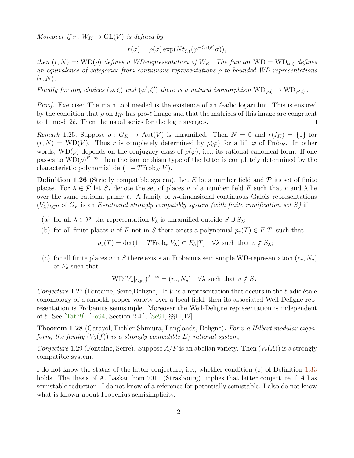Moreover if  $r: W_K \to GL(V)$  is defined by

$$
r(\sigma) = \rho(\sigma) \exp(Nt_{\zeta,\ell}(\varphi^{-\xi_K(\sigma)}\sigma)),
$$

then  $(r, N) =: WD(\rho)$  defines a WD-representation of  $W_K$ . The functor  $WD = WD_{\varphi,\zeta}$  defines an equivalence of categories from continuous representations  $\rho$  to bounded WD-representations  $(r, N)$ .

Finally for any choices  $(\varphi, \zeta)$  and  $(\varphi', \zeta')$  there is a natural isomorphism  $\text{WD}_{\varphi, \zeta} \to \text{WD}_{\varphi', \zeta'}$ .

*Proof.* Exercise: The main tool needed is the existence of an  $\ell$ -adic logarithm. This is ensured by the condition that  $\rho$  on  $I_{K'}$  has pro- $\ell$  image and that the matrices of this image are congruent to 1 mod  $2\ell$ . Then the usual series for the log converges.  $\Box$ 

Remark 1.25. Suppose  $\rho: G_K \to \text{Aut}(V)$  is unramified. Then  $N = 0$  and  $r(I_K) = \{1\}$  for  $(r, N) = \text{WD}(V)$ . Thus r is completely determined by  $\rho(\varphi)$  for a lift  $\varphi$  of Frob<sub>K</sub>. In other words,  $WD(\rho)$  depends on the conjugacy class of  $\rho(\varphi)$ , i.e., its rational canonical form. If one passes to  $WD(\rho)^{F-ss}$ , then the isomorphism type of the latter is completely determined by the characteristic polynomial det $(1 - TFrob<sub>K</sub>|V)$ .

**Definition 1.26** (Strictly compatible system). Let E be a number field and  $\mathcal{P}$  its set of finite places. For  $\lambda \in \mathcal{P}$  let  $S_{\lambda}$  denote the set of places v of a number field F such that v and  $\lambda$  lie over the same rational prime  $\ell$ . A family of *n*-dimensional continuous Galois representations  $(V_{\lambda})_{\lambda\in\mathcal{P}}$  of  $G_F$  is an E-rational strongly compatibly system (with finite ramification set S) if

- (a) for all  $\lambda \in \mathcal{P}$ , the representation  $V_{\lambda}$  is unramified outside  $S \cup S_{\lambda}$ ;
- (b) for all finite places v of F not in S there exists a polynomial  $p_v(T) \in E[T]$  such that

$$
p_v(T) = \det(1 - T \text{Frob}_v | V_\lambda) \in E_\lambda[T] \quad \forall \lambda \text{ such that } v \notin S_\lambda;
$$

(c) for all finite places v in S there exists an Frobenius semisimple WD-representation  $(r_v, N_v)$ of  $F_v$  such that

$$
WD(V_{\lambda}|_{G_{F_v}})^{F-ss} = (r_v, N_v) \quad \forall \lambda \text{ such that } v \notin S_{\lambda}.
$$

Conjecture 1.27 (Fontaine, Serre, Deligne). If V is a representation that occurs in the  $\ell$ -adic étale cohomology of a smooth proper variety over a local field, then its associated Weil-Deligne representation is Frobenius semisimple. Moreover the Weil-Deligne representation is independent of  $\ell$ . See [\[Tat79\]](#page-23-7), [\[Fo94,](#page-21-5) Section 2.4.], [\[Se91,](#page-22-11) §§11,12].

**Theorem 1.28** (Carayol, Eichler-Shimura, Langlands, Deligne). For v a Hilbert modular eigenform, the family  $(V_{\lambda}(f))$  is a strongly compatible  $E_f$ -rational system;

Conjecture 1.29 (Fontaine, Serre). Suppose  $A/F$  is an abelian variety. Then  $(V_p(A))$  is a strongly compatible system.

I do not know the status of the latter conjecture, i.e., whether condition (c) of Definition [1.33](#page-15-0) holds. The thesis of A. Laskar from 2011 (Strasbourg) implies that latter conjecture if A has semistable reduction. I do not know of a reference for potentially semistable. I also do not know what is known about Frobenius semisimplicity.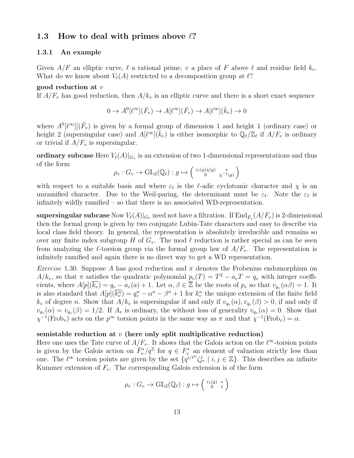## 1.3 How to deal with primes above  $\ell$ ?

#### 1.3.1 An example

Given  $A/F$  an elliptic curve,  $\ell$  a rational prime, v a place of F above  $\ell$  and residue field  $k_v$ . What do we know about  $V_{\ell}(A)$  restricted to a decomposition group at  $\ell$ ?

#### good reduction at  $v$

If  $A/F_v$  has good reduction, then  $A/k_v$  is an elliptic curve and there is a short exact sequence

$$
0 \to A^0[\ell^\infty](\bar{F}_v) \to A[\ell^\infty](\bar{F}_v) \to A[\ell^\infty](\bar{k}_v) \to 0
$$

where  $A^0[\ell^\infty]](\bar{F}_v)$  is given by a formal group of dimension 1 and height 1 (ordinary case) or height 2 (supersingular case) and  $A[\ell^{\infty}](\bar{k}_v)$  is either isomorphic to  $\mathbb{Q}_{\ell}/\mathbb{Z}_{\ell}$  if  $A/F_v$  is ordinary or trivial if  $A/F_v$  is supersingular.

ordinary subcase Here  $V_{\ell}(A)|_{G_v}$  is an extension of two 1-dimensional representations and thus of the form

$$
\rho_v: G_v \to \mathrm{GL}_2(\mathbb{Q}_\ell): g \mapsto \left( \begin{smallmatrix} \varepsilon_\ell(g)\chi(g) & * \\ 0 & \chi^{-1}(g) \end{smallmatrix} \right)
$$

with respect to a suitable basis and where  $\varepsilon_\ell$  is the  $\ell$ -adic cyclotomic character and  $\chi$  is an unramified character. Due to the Weil-paring, the determinant must be  $\varepsilon_{\ell}$ . Note the  $\varepsilon_{\ell}$  is infinitely wildly ramified – so that there is no associated WD-representation.

 ${\bf supersingular\, subcase}$   ${\rm Now}$   $V_\ell(A)|_{G_v}$  need not have a filtration. If  ${\rm End}_{\bar{F}_v}(A/F_v)$  is 2-dimensional then the formal group is given by two conjugate Lubin-Tate characters and easy to describe via local class field theory. In general, the representation is absolutely irreducible and remains so over any finite index subgroup H of  $G_v$ . The mod  $\ell$  reduction is rather special as can be seen from analyzing the  $\ell$ -torsion group via the formal group law of  $A/F_v$ . The representation is infinitely ramified and again there is no direct way to get a WD representation.

Exercise 1.30. Suppose A has good reduction and  $\pi$  denotes the Frobenius endomorphism on  $A/k_v$ , so that  $\pi$  satisfies the quadratic polynomial  $p_v(T) = T^2 - a_vT = q_v$  with integer coefficients, where  $A[p](\overline{k_v}) = q_v - a_v(a) + 1$ . Let  $\alpha, \beta \in \overline{\mathbb{Z}}$  be the roots of  $p_v$  so that  $v_{q_v}(\alpha \beta) = 1$ . It is also standard that  $A[p](\overline{k_v^n}) = q_v^n - \alpha^n - \beta^n + 1$  for  $k_v^n$  the unique extension of the finite field  $k_v$  of degree n. Show that  $A/k_v$  is supersingular if and only if  $v_{q_v}(\alpha), v_{q_v}(\beta) > 0$ , if and only if  $v_{q_v}(\alpha) = v_{q_v}(\beta) = 1/2$ . If  $A_v$  is ordinary, the without loss of generality  $v_{q_v}(\alpha) = 0$ . Show that  $\chi^{-1}(\text{Frob}_v)$  acts on the  $p^{\infty}$  torsion points in the same way as  $\pi$  and that  $\chi^{-1}(\text{Frob}_v) = \alpha$ .

#### semistable reduction at  $v$  (here only split multiplicative reduction)

Here one uses the Tate curve of  $A/F_v$ . It shows that the Galois action on the  $\ell^{\infty}$ -torsion points is given by the Galois action on  $\bar{F}_v^*/q^{\mathbb{Z}}$  for  $q \in F_v^*$  an element of valuation strictly less than one. The  $\ell^{\infty}$  torsion points are given by the set  $\{q^{i/\ell^n}\zeta_{\ell^n}^j \mid i,j \in \mathbb{Z}\}\.$  This describes an infinite Kummer extension of  $F_v$ . The corresponding Galois extension is of the form

$$
\rho_v: G_v \to \mathrm{GL}_2(\mathbb{Q}_\ell): g \mapsto \left(\begin{smallmatrix} \varepsilon_\ell(g) & * \\ 0 & 1 \end{smallmatrix}\right)
$$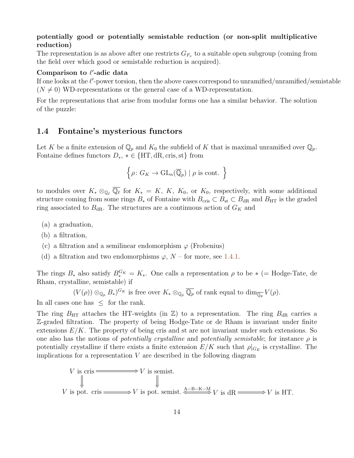## potentially good or potentially semistable reduction (or non-split multiplicative reduction)

The representation is as above after one restricts  $G_{F_v}$  to a suitable open subgroup (coming from the field over which good or semistable reduction is acquired).

## Comparison to  $\ell'$ -adic data

If one looks at the  $\ell'$ -power torsion, then the above cases correspond to unramified/unramified/semistable  $(N \neq 0)$  WD-representations or the general case of a WD-representation.

For the representations that arise from modular forms one has a similar behavior. The solution of the puzzle:

## 1.4 Fontaine's mysterious functors

Let K be a finite extension of  $\mathbb{Q}_p$  and  $K_0$  the subfield of K that is maximal unramified over  $\mathbb{Q}_p$ . Fontaine defines functors  $D_*$ ,  $* \in \{HT, dR, cris, st\}$  from

$$
\left\{ \rho \colon G_K \to \mathrm{GL}_n(\overline{\mathbb{Q}}_p) \mid \rho \text{ is cont. } \right\}
$$

to modules over  $K_* \otimes_{\mathbb{Q}_{\ell}} \overline{\mathbb{Q}_{\ell}}$  for  $K_* = K, K, K_0$ , or  $K_0$ , respectively, with some additional structure coming from some rings  $B_*$  of Fontaine with  $B_{\text{cris}} \subset B_{\text{st}} \subset B_{\text{dR}}$  and  $B_{\text{HT}}$  is the graded ring associated to  $B_{\rm dR}$ . The structures are a continuous action of  $G_K$  and

- (a) a graduation,
- (b) a filtration,
- (c) a filtration and a semilinear endomorphism  $\varphi$  (Frobenius)
- (d) a filtration and two endomorphisms  $\varphi$ ,  $N$  for more, see [1.4.1.](#page-14-0)

The rings  $B_*$  also satisfy  $B_*^{G_K} = K_*$ . One calls a representation  $\rho$  to be  $*$  (= Hodge-Tate, de Rham, crystalline, semistable) if

 $(V(\rho)) \otimes_{\mathbb{Q}_p} B_*)^{G_K}$  is free over  $K_* \otimes_{\mathbb{Q}_p} \overline{\mathbb{Q}_p}$  of rank equal to  $\dim_{\overline{\mathbb{Q}_p}} V(\rho)$ .

In all cases one has  $\leq$  for the rank.

The ring  $B_{\text{HT}}$  attaches the HT-weights (in Z) to a representation. The ring  $B_{\text{dR}}$  carries a Z-graded filtration. The property of being Hodge-Tate or de Rham is invariant under finite extensions  $E/K$ . The property of being cris and st are not invariant under such extensions. So one also has the notions of *potentially crystalline* and *potentially semistable*; for instance  $\rho$  is potentially crystalline if there exists a finite extension  $E/K$  such that  $\rho|_{G_E}$  is crystalline. The implications for a representation  $V$  are described in the following diagram

V is cris 
$$
\longrightarrow V
$$
 is semist.  
\n
$$
\Downarrow \qquad \qquad \downarrow
$$
\nV is pot. cris  $\longrightarrow V$  is pot. semist.  $\xleftarrow{A-B-K-M} V$  is dR  $\longrightarrow V$  is HT.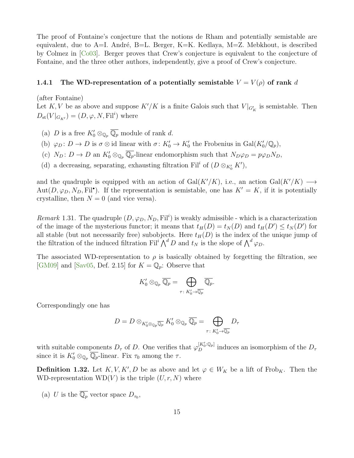The proof of Fontaine's conjecture that the notions de Rham and potentially semistable are equivalent, due to  $A=I$ . André, B=L. Berger, K=K. Kedlaya, M=Z. Mebkhout, is described by Colmez in [\[Co03\]](#page-20-6). Berger proves that Crew's conjecture is equivalent to the conjecture of Fontaine, and the three other authors, independently, give a proof of Crew's conjecture.

### <span id="page-14-0"></span>1.4.1 The WD-representation of a potentially semistable  $V = V(\rho)$  of rank d

(after Fontaine)

Let K, V be as above and suppose  $K'/K$  is a finite Galois such that  $V|_{G'_{K}}$  is semistable. Then  $D_{\text{st}}(V|_{G_{K'}}) = (D, \varphi, N, \mathrm{Fil}^i)$  where

- (a) D is a free  $K'_0 \otimes_{\mathbb{Q}_p} \overline{\mathbb{Q}_p}$  module of rank d.
- (b)  $\varphi_D: D \to D$  is  $\sigma \otimes \text{id}$  linear with  $\sigma: K'_0 \to K'_0$  the Frobenius in  $Gal(K'_0/\mathbb{Q}_p)$ ,
- (c)  $N_D: D \to D$  an  $K'_0 \otimes_{\mathbb{Q}_p} \overline{\mathbb{Q}_p}$ -linear endomorphism such that  $N_D \varphi_D = p \varphi_D N_D$ ,
- (d) a decreasing, separating, exhausting filtration Fil<sup>i</sup> of  $(D \otimes_{K'_0} K')$ ,

and the quadruple is equipped with an action of Gal(K'/K), i.e., an action Gal(K'/K)  $\longrightarrow$  $Aut(D, \varphi_D, N_D, \mathrm{Fil}^{\bullet})$ . If the representation is semistable, one has  $K' = K$ , if it is potentially crystalline, then  $N = 0$  (and vice versa).

Remark 1.31. The quadruple  $(D, \varphi_D, N_D, \mathrm{Fil}^i)$  is weakly admissible - which is a characterization of the image of the mysterious functor; it means that  $t_H(D) = t_N(D)$  and  $t_H(D') \le t_N(D')$  for all stable (but not necessarily free) subobjects. Here  $t_H(D)$  is the index of the unique jump of the filtration of the induced filtration Fil<sup>i</sup>  $\bigwedge^d D$  and  $t_N$  is the slope of  $\bigwedge^d \varphi_D$ .

The associated WD-representation to  $\rho$  is basically obtained by forgetting the filtration, see [\[GM09\]](#page-21-6) and [\[Sav05,](#page-22-12) Def. 2.15] for  $K = \mathbb{Q}_p$ : Observe that

$$
K_0' \otimes_{\mathbb{Q}_p} \overline{\mathbb{Q}_p} = \bigoplus_{\tau \colon K_0' \to \overline{\mathbb{Q}_p}} \overline{\mathbb{Q}_p}.
$$

Correspondingly one has

$$
D=D\otimes_{K'_0\otimes_{{\mathbb Q}_p}\overline{{\mathbb Q}_p}}K'_0\otimes_{{\mathbb Q}_p}\overline{{\mathbb Q}_p}=\bigoplus_{\tau\colon K'_0\to\overline{{\mathbb Q}_p}}D_\tau
$$

with suitable components  $D_{\tau}$  of D. One verifies that  $\varphi_D^{[K'_0:\mathbb{Q}_p]}$  induces an isomorphism of the  $D_{\tau}$ since it is  $K_0' \otimes_{\mathbb{Q}_p} \overline{\mathbb{Q}_p}$ -linear. Fix  $\tau_0$  among the  $\tau$ .

**Definition 1.32.** Let  $K, V, K', D$  be as above and let  $\varphi \in W_K$  be a lift of Frob<sub>K</sub>. Then the WD-representation  $WD(V)$  is the triple  $(U, r, N)$  where

(a) U is the  $\overline{\mathbb{Q}_p}$  vector space  $D_{\tau_0}$ ,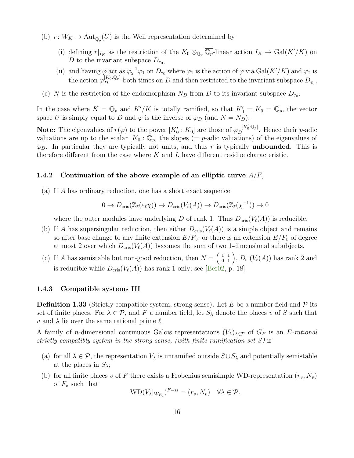- (b)  $r: W_K \to \text{Aut}_{\overline{\mathbb{Q}_p}}(U)$  is the Weil representation determined by
	- (i) defining  $r|_{I_K}$  as the restriction of the  $K_0 \otimes_{\mathbb{Q}_p} \overline{\mathbb{Q}_p}$ -linear action  $I_K \to \text{Gal}(K'/K)$  on D to the invariant subspace  $D_{\tau_0}$ ,
	- (ii) and having  $\varphi$  act as  $\varphi_2^{-1}\varphi_1$  on  $D_{\tau_0}$  where  $\varphi_1$  is the action of  $\varphi$  via  $Gal(K'/K)$  and  $\varphi_2$  is the action  $\varphi_D^{[K_0:\mathbb{Q}_p]}$  both times on D and then restricted to the invariant subspace  $D_{\tau_0}$ ,
- (c) N is the restriction of the endomorphism  $N_D$  from D to its invariant subspace  $D_{\tau_0}$ .

In the case where  $K = \mathbb{Q}_p$  and  $K'/K$  is totally ramified, so that  $K'_0 = K_0 = \mathbb{Q}_p$ , the vector space U is simply equal to D and  $\varphi$  is the inverse of  $\varphi_D$  (and  $N = N_D$ ).

**Note:** The eigenvalues of  $r(\varphi)$  to the power  $[K'_0: K_0]$  are those of  $\varphi_D^{-[K'_0:\mathbb{Q}_p]}$ . Hence their p-adic valuations are up to the scalar  $[K_0 : \mathbb{Q}_p]$  the slopes (= p-adic valuations) of the eigenvalues of  $\varphi_D$ . In particular they are typically not units, and thus r is typically **unbounded**. This is therefore different from the case where  $K$  and  $L$  have different residue characteristic.

#### 1.4.2 Continuation of the above example of an elliptic curve  $A/F_v$

(a) If A has ordinary reduction, one has a short exact sequence

$$
0 \to D_{\mathrm{cris}}(\mathbb{Z}_{\ell}(\varepsilon_{\ell}\chi)) \to D_{\mathrm{cris}}(V_{\ell}(A)) \to D_{\mathrm{cris}}(\mathbb{Z}_{\ell}(\chi^{-1})) \to 0
$$

where the outer modules have underlying D of rank 1. Thus  $D_{\text{cris}}(V_{\ell}(A))$  is reducible.

- (b) If A has supersingular reduction, then either  $D_{\text{cris}}(V_{\ell}(A))$  is a simple object and remains so after base change to any finite extension  $E/F_v$ , or there is an extension  $E/F_v$  of degree at most 2 over which  $D_{\text{cris}}(V_{\ell}(A))$  becomes the sum of two 1-dimensional subobjects.
- (c) If A has semistable but non-good reduction, then  $N = \begin{pmatrix} 1 & 1 \\ 0 & 1 \end{pmatrix}$ ,  $D_{st}(V_{\ell}(A))$  has rank 2 and is reducible while  $D_{\text{cris}}(V_{\ell}(A))$  has rank 1 only; see [\[Ber02,](#page-20-7) p. 18].

#### 1.4.3 Compatible systems III

<span id="page-15-0"></span>**Definition 1.33** (Strictly compatible system, strong sense). Let E be a number field and P its set of finite places. For  $\lambda \in \mathcal{P}$ , and F a number field, let  $S_{\lambda}$  denote the places v of S such that v and  $\lambda$  lie over the same rational prime  $\ell$ .

A family of *n*-dimensional continuous Galois representations  $(V_\lambda)_{\lambda\in\mathcal{P}}$  of  $G_F$  is an E-rational strictly compatibly system in the strong sense, (with finite ramification set  $S$ ) if

- (a) for all  $\lambda \in \mathcal{P}$ , the representation  $V_{\lambda}$  is unramified outside  $S \cup S_{\lambda}$  and potentially semistable at the places in  $S_{\lambda}$ ;
- (b) for all finite places v of F there exists a Frobenius semisimple WD-representation  $(r_v, N_v)$ of  $F_v$  such that

$$
WD(V_{\lambda}|_{W_{F_v}})^{F-ss}=(r_v, N_v) \quad \forall \lambda \in \mathcal{P}.
$$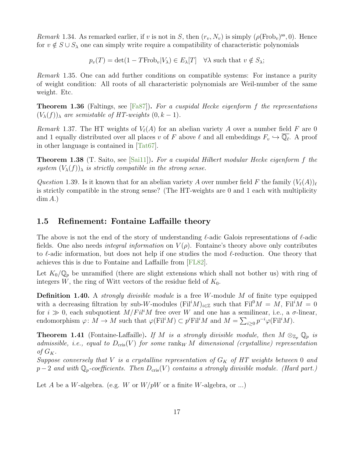Remark 1.34. As remarked earlier, if v is not in S, then  $(r_v, N_v)$  is simply  $(\rho(\text{Frob}_v)^{ss}, 0)$ . Hence for  $v \notin S \cup S_\lambda$  one can simply write require a compatibility of characteristic polynomials

 $p_v(T) = \det(1 - T \text{Frob}_v | V_\lambda) \in E_\lambda[T]$   $\forall \lambda$  such that  $v \notin S_\lambda$ ;

Remark 1.35. One can add further conditions on compatible systems: For instance a purity of weight condition: All roots of all characteristic polynomials are Weil-number of the same weight. Etc.

**Theorem 1.36** (Faltings, see [\[Fa87\]](#page-21-7)). For a cuspidal Hecke eigenform f the representations  $(V_{\lambda}(f))_{\lambda}$  are semistable of HT-weights  $(0, k-1)$ .

Remark 1.37. The HT weights of  $V_{\ell}(A)$  for an abelian variety A over a number field F are 0 and 1 equally distributed over all places v of F above  $\ell$  and all embeddings  $F_v \hookrightarrow \overline{\mathbb{Q}_\ell}$ . A proof in other language is contained in [\[Tat67\]](#page-22-13).

**Theorem 1.38** (T. Saito, see [\[Sai11\]](#page-22-8)). For a cuspidal Hilbert modular Hecke eigenform f the system  $(V_{\lambda}(f))_{\lambda}$  is strictly compatible in the strong sense.

Question 1.39. Is it known that for an abelian variety A over number field F the family  $(V_{\ell}(A))_{\ell}$ is strictly compatible in the strong sense? (The HT-weights are 0 and 1 each with multiplicity  $dim A.$ )

## 1.5 Refinement: Fontaine Laffaille theory

The above is not the end of the story of understanding  $\ell$ -adic Galois representations of  $\ell$ -adic fields. One also needs *integral information* on  $V(\rho)$ . Fontaine's theory above only contributes to  $\ell$ -adic information, but does not help if one studies the mod  $\ell$ -reduction. One theory that achieves this is due to Fontaine and Laffaille from [\[FL82\]](#page-21-8).

Let  $K_0/\mathbb{Q}_p$  be unramified (there are slight extensions which shall not bother us) with ring of integers  $W$ , the ring of Witt vectors of the residue field of  $K_0$ .

**Definition 1.40.** A *strongly divisible module* is a free W-module  $M$  of finite type equipped with a decreasing filtration by sub-W-modules (Fil<sup>i</sup>M)<sub>i∈Z</sub> such that Fil<sup>0</sup>M = M, Fil<sup>i</sup>M = 0 for  $i \gg 0$ , each subquotient  $M/Fil^{i}M$  free over W and one has a semilinear, i.e., a  $\sigma$ -linear, endomorphism  $\varphi: M \to M$  such that  $\varphi(Fil^iM) \subset p^i \text{Fil}^iM$  and  $M = \sum_{i \geq 0} p^{-i} \varphi(Fil^iM)$ .

**Theorem 1.41** (Fontaine-Laffaille). If M is a strongly divisible module, then  $M \otimes_{\mathbb{Z}_p} \mathbb{Q}_p$  is admissible, i.e., equal to  $D_{\text{cris}}(V)$  for some rank<sub>W</sub> M dimensional (crystalline) representation of  $G_K$ .

Suppose conversely that V is a crystalline representation of  $G_K$  of HT weights between 0 and  $p-2$  and with  $\mathbb{Q}_p$ -coefficients. Then  $D_{\text{cris}}(V)$  contains a strongly divisible module. (Hard part.)

Let A be a W-algebra. (e.g. W or  $W/pW$  or a finite W-algebra, or ...)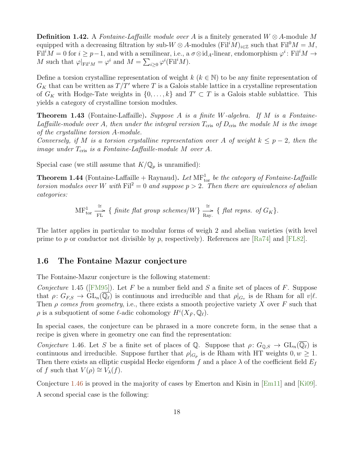**Definition 1.42.** A *Fontaine-Laffaille module over A* is a finitely generated  $W \otimes A$ -module M equipped with a decreasing filtration by sub-W  $\otimes$  A-modules (Fil<sup>n</sup>M)<sub>i∈Z</sub> such that Fil<sup>0</sup>M = M, Fil<sup>i</sup> $M = 0$  for  $i \geq p-1$ , and with a semilinear, i.e., a  $\sigma \otimes id_A$ -linear, endomorphism  $\varphi^i$ : Fil<sup>i</sup> $M \to$ M such that  $\varphi|_{\text{Fil}^iM} = \varphi^i$  and  $M = \sum_{i \geq 0} \varphi^i(\text{Fil}^iM)$ .

Define a torsion crystalline representation of weight  $k$  ( $k \in \mathbb{N}$ ) to be any finite representation of  $G_K$  that can be written as  $T/T'$  where T is a Galois stable lattice in a crystalline representation of  $G_K$  with Hodge-Tate weights in  $\{0, \ldots, k\}$  and  $T' \subset T$  is a Galois stable sublattice. This yields a category of crystalline torsion modules.

**Theorem 1.43** (Fontaine-Laffaille). Suppose A is a finite W-algebra. If M is a Fontaine-Laffaille-module over A, then under the integral version  $T_{\text{cris}}$  of  $D_{\text{cris}}$  the module M is the image of the crystalline torsion A-module.

Conversely, if M is a torsion crystalline representation over A of weight  $k \leq p-2$ , then the image under  $T_{\text{cris}}$  is a Fontaine-Laffaille-module M over A.

Special case (we still assume that  $K/\mathbb{Q}_p$  is unramified):

**Theorem 1.44** (Fontaine-Laffaille + Raynaud). Let  $\text{MF}^1_{\text{tor}}$  be the category of Fontaine-Laffaille torsion modules over W with  $\text{Fil}^2 = 0$  and suppose  $p > 2$ . Then there are equivalences of abelian categories:

$$
\text{MF}_{\text{tor}}^1 \xrightarrow{\cong} \{ \text{ finite flat group schemes}/W \} \xrightarrow{\cong} \{ \text{ flat repns. of } G_K \}.
$$

The latter applies in particular to modular forms of weigh 2 and abelian varieties (with level prime to p or conductor not divisible by p, respectively). References are  $[Ra74]$  and  $[FL82]$ .

## 1.6 The Fontaine Mazur conjecture

The Fontaine-Mazur conjecture is the following statement:

Conjecture1.45 ([\[FM95\]](#page-21-9)). Let F be a number field and S a finite set of places of F. Suppose that  $\rho: G_{F,S} \to \widetilde{\mathrm{GL}}_n(\overline{\mathbb{Q}_\ell})$  is continuous and irreducible and that  $\rho|_{G_v}$  is de Rham for all  $v|\ell$ . Then  $\rho$  comes from geometry, i.e., there exists a smooth projective variety X over F such that  $\rho$  is a subquotient of some  $\ell$ -adic cohomology  $H^i(X_{\bar{F}}, \mathbb{Q}_\ell)$ .

In special cases, the conjecture can be phrased in a more concrete form, in the sense that a recipe is given where in geometry one can find the representation:

<span id="page-17-0"></span>Conjecture 1.46. Let S be a finite set of places of Q. Suppose that  $\rho: G_{\mathbb{Q},S} \to GL_n(\mathbb{Q}_\ell)$  is continuous and irreducible. Suppose further that  $\rho|_{G_p}$  is de Rham with HT weights  $0, w \geq 1$ . Then there exists an elliptic cuspidal Hecke eigenform f and a place  $\lambda$  of the coefficient field  $E_f$ of f such that  $V(\rho) \cong V_{\lambda}(f)$ .

Conjecture [1.46](#page-17-0) is proved in the majority of cases by Emerton and Kisin in [\[Em11\]](#page-21-10) and [\[Ki09\]](#page-21-11). A second special case is the following: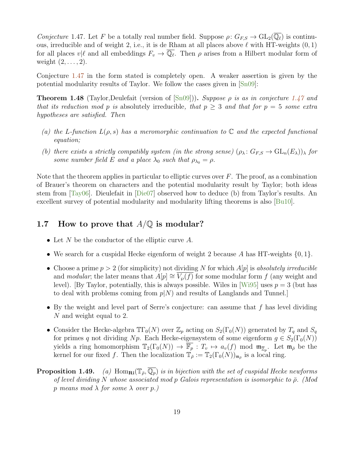<span id="page-18-0"></span>Conjecture 1.47. Let F be a totally real number field. Suppose  $\rho: G_{F,S} \to GL_2(\mathbb{Q}_\ell)$  is continuous, irreducible and of weight 2, i.e., it is de Rham at all places above  $\ell$  with HT-weights  $(0, 1)$ for all places  $v|\ell$  and all embeddings  $F_v \to \overline{\mathbb{Q}_\ell}$ . Then  $\rho$  arises from a Hilbert modular form of weight  $(2, \ldots, 2)$ .

Conjecture [1.47](#page-18-0) in the form stated is completely open. A weaker assertion is given by the potential modularity results of Taylor. We follow the cases given in [\[Sn09\]](#page-22-4):

**Theorem 1.48** (Taylor, Deulefait (version of  $[\text{Sn09}])$ ). Suppose  $\rho$  is as in conjecture [1.47](#page-18-0) and that its reduction mod p is absolutely irreducible, that  $p \geq 3$  and that for  $p = 5$  some extra hypotheses are satisfied. Then

- (a) the L-function  $L(\rho, s)$  has a meromorphic continuation to  $\mathbb C$  and the expected functional equation;
- (b) there exists a strictly compatibly system (in the strong sense)  $(\rho_{\lambda}: G_{FS} \to GL_n(E_{\lambda}))_{\lambda}$  for some number field E and a place  $\lambda_0$  such that  $\rho_{\lambda_0} = \rho$ .

Note that the theorem applies in particular to elliptic curves over  $F$ . The proof, as a combination of Brauer's theorem on characters and the potential modularity result by Taylor; both ideas stem from [\[Tay06\]](#page-23-2). Dieulefait in [\[Die07\]](#page-21-12) observed how to deduce (b) from Taylor's results. An excellent survey of potential modularity and modularity lifting theorems is also [\[Bu10\]](#page-20-8).

## 1.7 How to prove that  $A/\mathbb{Q}$  is modular?

- Let N be the conductor of the elliptic curve  $A$ .
- We search for a cuspidal Hecke eigenform of weight 2 because A has HT-weights  $\{0, 1\}$ .
- Choose a prime  $p > 2$  (for simplicity) not dividing N for which  $A[p]$  is absolutely irreducible and modular; the later means that  $A[p] \cong V_{\varphi}(f)$  for some modular form f (any weight and level). [By Taylor, potentially, this is always possible. Wiles in [\[Wi95\]](#page-23-0) uses  $p = 3$  (but has to deal with problems coming from  $p(N)$  and results of Langlands and Tunnel.
- By the weight and level part of Serre's conjecture: can assume that  $f$  has level dividing N and weight equal to 2.
- Consider the Hecke-algebra  $\mathbb{IT}_0(N)$  over  $\mathbb{Z}_p$  acting on  $S_2(\Gamma_0(N))$  generated by  $T_q$  and  $S_q$ for primes q not dividing Np. Each Hecke-eigensystem of some eigenform  $g \in S_2(\Gamma_0(N))$ yields a ring homomorphism  $\mathbb{T}_2(\Gamma_0(N)) \to \overline{\mathbb{F}_p}$ :  $T_v \mapsto a_v(f)$  mod  $\mathfrak{m}_{\overline{Z}_p}$ . Let  $\mathfrak{m}_{\overline{\rho}}$  be the kernel for our fixed f. Then the localization  $\mathbb{T}_{\bar{\rho}} := \mathbb{T}_2(\Gamma_0(N))_{\mathfrak{m}_{\bar{\rho}}}$  is a local ring.
- **Proposition 1.49.** (a) Hom $_{\mathbf{Ri}}(\mathbb{T}_{\bar{\rho}}, \overline{\mathbb{Q}_p})$  is in bijection with the set of cuspidal Hecke newforms of level dividing N whose associated mod p Galois representation is isomorphic to  $\bar{\rho}$ . (Mod p means mod  $\lambda$  for some  $\lambda$  over p.)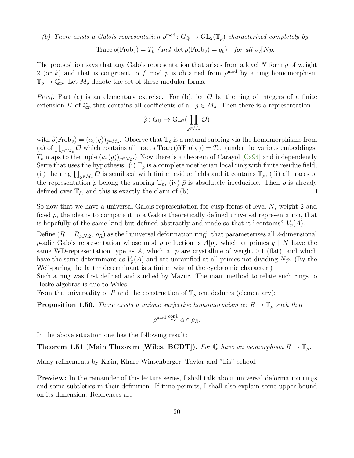(b) There exists a Galois representation  $\rho^{mod}$ :  $G_{\mathbb{Q}} \to GL_2(\mathbb{T}_{\bar{\rho}})$  characterized completely by

Trace  $\rho(\text{Frob}_v) = T_v$  (and det  $\rho(\text{Frob}_v) = q_v$ ) for all  $v/Np$ .

The proposition says that any Galois representation that arises from a level  $N$  form  $q$  of weight 2 (or k) and that is congruent to f mod p is obtained from  $\rho^{\text{mod}}$  by a ring homomorphism  $\mathbb{T}_{\bar{\rho}} \to \mathbb{Q}_p$ . Let  $M_{\bar{\rho}}$  denote the set of these modular forms.

*Proof.* Part (a) is an elementary exercise. For (b), let  $\mathcal O$  be the ring of integers of a finite extension K of  $\mathbb{Q}_p$  that contains all coefficients of all  $g \in M_{\bar{\rho}}$ . Then there is a representation

$$
\widetilde{\rho} \colon G_{\mathbb{Q}} \to \mathrm{GL}_2(\prod_{g \in M_{\bar{\rho}}} \mathcal{O})
$$

with  $\tilde{\rho}(\text{Frob}_v) = (a_v(g))_{g \in M_{\bar{\rho}}}$ . Observe that  $\mathbb{T}_{\bar{\rho}}$  is a natural subring via the homomorphisms from (a) of  $\prod_{g \in M_{\rho}} \mathcal{O}$  which contains all traces  $Trace(\widetilde{\rho}(\text{Frob}_v)) = T_v$ . (under the various embeddings,  $T_v$  maps to the tuple  $(a_v(g))_{g \in M_{\bar{\rho}}}$ .) Now there is a theorem of Carayol [\[Ca94\]](#page-20-9) and independently Serre that uses the hypothesis: (i)  $\mathbb{T}_{\bar{\rho}}$  is a complete noetherian local ring with finite residue field, (ii) the ring  $\prod_{g\in M_{\bar{\rho}}} \mathcal{O}$  is semilocal with finite residue fields and it contains  $\mathbb{T}_{\bar{\rho}},$  (iii) all traces of the representation  $\tilde{\rho}$  belong the subring  $\mathbb{T}_{\bar{\rho}}$ , (iv)  $\bar{\rho}$  is absolutely irreducible. Then  $\tilde{\rho}$  is already defined over  $\mathbb{T}_{\bar{\rho}}$ , and this is exactly the claim of (b) defined over  $\mathbb{T}_{\bar{\rho}}$ , and this is exactly the claim of (b)

So now that we have a universal Galois representation for cusp forms of level  $N$ , weight 2 and fixed  $\bar{\rho}$ , the idea is to compare it to a Galois theoretically defined universal representation, that is hopefully of the same kind but defined abstractly and made so that it "contains"  $V_p(A)$ .

Define  $(R = R_{\bar{\rho},N,2}, \rho_R)$  as the "universal deformation ring" that parameterizes all 2-dimensional p-adic Galois representation whose mod p reduction is  $A[p]$ , which at primes q | N have the same WD-representation type as A, which at p are crystalline of weight 0,1 (flat), and which have the same determinant as  $V_p(A)$  and are unramfied at all primes not dividing Np. (By the Weil-paring the latter determinant is a finite twist of the cyclotomic character.)

Such a ring was first defined and studied by Mazur. The main method to relate such rings to Hecke algebras is due to Wiles.

From the universality of R and the construction of  $\mathbb{T}_{\bar{\rho}}$  one deduces (elementary):

**Proposition 1.50.** There exists a unique surjective homomorphism  $\alpha: R \to \mathbb{T}_{\bar{\rho}}$  such that

$$
\rho^{\text{mod}} \overset{\text{conj.}}{\sim} \alpha \circ \rho_R.
$$

In the above situation one has the following result:

**Theorem 1.51 (Main Theorem [Wiles, BCDT]).** For Q have an isomorphism  $R \to \mathbb{T}_{\bar{\rho}}$ .

Many refinements by Kisin, Khare-Wintenberger, Taylor and "his" school.

**Preview:** In the remainder of this lecture series, I shall talk about universal deformation rings and some subtleties in their definition. If time permits, I shall also explain some upper bound on its dimension. References are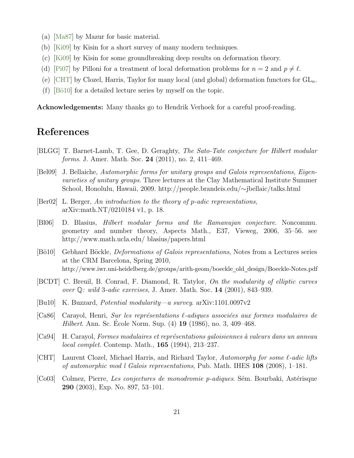- (a) [\[Ma87\]](#page-22-15) by Mazur for basic material.
- (b) [\[Ki09\]](#page-21-13) by Kisin for a short survey of many modern techniques.
- (c) [\[Ki09\]](#page-21-14) by Kisin for some groundbreaking deep results on deformation theory.
- (d) [\[Pi07\]](#page-22-16) by Pilloni for a treatment of local deformation problems for  $n = 2$  and  $p \neq \ell$ .
- (e) [\[CHT\]](#page-20-3) by Clozel, Harris, Taylor for many local (and global) deformation functors for  $GL_n$ .
- $(f)$  [Bö10] for a detailed lecture series by myself on the topic.

Acknowledgements: Many thanks go to Hendrik Verhoek for a careful proof-reading.

# References

- <span id="page-20-2"></span>[BLGG] T. Barnet-Lamb, T. Gee, D. Geraghty, The Sato-Tate conjecture for Hilbert modular forms. J. Amer. Math. Soc. 24 (2011), no. 2, 411–469.
- <span id="page-20-0"></span>[Bel09] J. Bellaiche, Automorphic forms for unitary groups and Galois representations, Eigenvarieties of unitary groups. Three lectures at the Clay Mathematical Institute Summer School, Honolulu, Hawaii, 2009. http://people.brandeis.edu/∼jbellaic/talks.html
- <span id="page-20-7"></span>[Ber02] L. Berger, An introduction to the theory of p-adic representations, arXiv:math.NT/0210184 v1, p. 18.
- <span id="page-20-5"></span>[Bl06] D. Blasius, Hilbert modular forms and the Ramanujan conjecture. Noncommu. geometry and number theory, Aspects Math., E37, Vieweg, 2006, 35–56. see http://www.math.ucla.edu/ blasius/papers.html
- <span id="page-20-10"></span>[Bö10] Gebhard Böckle, *Deformations of Galois representations*, Notes from a Lectures series at the CRM Barcelona, Spring 2010, http://www.iwr.uni-heidelberg.de/groups/arith-geom/boeckle old design/Boeckle-Notes.pdf
- <span id="page-20-1"></span>[BCDT] C. Breuil, B. Conrad, F. Diamond, R. Tatylor, On the modularity of elliptic curves over Q: wild 3-adic exercises, J. Amer. Math. Soc. 14 (2001), 843–939.
- <span id="page-20-8"></span>[Bu10] K. Buzzard, Potential modularity—a survey. arXiv:1101.0097v2
- <span id="page-20-4"></span>[Ca86] Carayol, Henri, Sur les représentations  $\ell$ -adiques associées aux formes modulaires de *Hilbert.* Ann. Sc. Ecole Norm. Sup.  $(4)$  **19**  $(1986)$ , no. 3, 409–468.
- <span id="page-20-9"></span>[Ca94] H. Carayol, Formes modulaires et représentations galoisiennes à valeurs dans un anneau local complet. Contemp. Math., 165 (1994), 213–237.
- <span id="page-20-3"></span>[CHT] Laurent Clozel, Michael Harris, and Richard Taylor, Automorphy for some  $\ell$ -adic lifts of automorphic mod l Galois representations, Pub. Math. IHES 108 (2008), 1–181.
- <span id="page-20-6"></span>[Co03] Colmez, Pierre, Les conjectures de monodromie p-adiques. Sém. Bourbaki, Astérisque 290 (2003), Exp. No. 897, 53–101.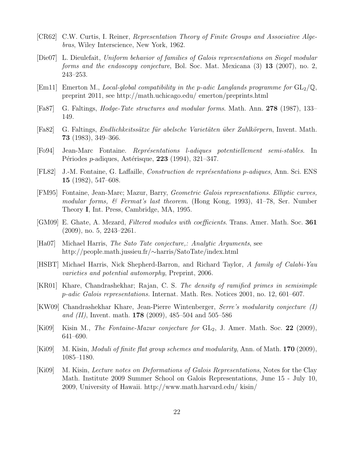- <span id="page-21-2"></span>[CR62] C.W. Curtis, I. Reiner, Representation Theory of Finite Groups and Associative Algebras, Wiley Interscience, New York, 1962.
- <span id="page-21-12"></span>[Die07] L. Dieulefait, Uniform behavior of families of Galois representations on Siegel modular forms and the endoscopy conjecture, Bol. Soc. Mat. Mexicana (3) 13 (2007), no. 2, 243–253.
- <span id="page-21-10"></span>[Em11] Emerton M., *Local-global compatibility in the p-adic Langlands programme for*  $GL_2(\mathbb{Q})$ , preprint 2011, see http://math.uchicago.edu/ emerton/preprints.html
- <span id="page-21-7"></span>[Fa87] G. Faltings, Hodge-Tate structures and modular forms. Math. Ann. 278 (1987), 133– 149.
- <span id="page-21-4"></span>[Fa82] G. Faltings, *Endlichkeitssätze für abelsche Varietäten über Zahlkörpern*, Invent. Math. 73 (1983), 349–366.
- <span id="page-21-5"></span>[Fo94] Jean-Marc Fontaine. Repr´esentations l-adiques potentiellement semi-stables. In Périodes *p*-adiques, Astérisque, 223 (1994), 321–347.
- <span id="page-21-8"></span>[FL82] J.-M. Fontaine, G. Laffaille, *Construction de représentations p-adiques*, Ann. Sci. ENS 15 (1982), 547–608.
- <span id="page-21-9"></span>[FM95] Fontaine, Jean-Marc; Mazur, Barry, Geometric Galois representations. Elliptic curves, modular forms, & Fermat's last theorem. (Hong Kong, 1993), 41–78, Ser. Number Theory I, Int. Press, Cambridge, MA, 1995.
- <span id="page-21-6"></span>[GM09] E. Ghate, A. Mezard, Filtered modules with coefficients. Trans. Amer. Math. Soc. 361 (2009), no. 5, 2243–2261.
- <span id="page-21-1"></span>[Ha07] Michael Harris, The Sato Tate conjecture,: Analytic Arguments, see http://people.math.jussieu.fr/∼harris/SatoTate/index.html
- <span id="page-21-0"></span>[HSBT] Michael Harris, Nick Shepherd-Barron, and Richard Taylor, A family of Calabi-Yau varieties and potential automorphy, Preprint, 2006.
- <span id="page-21-3"></span>[KR01] Khare, Chandrashekhar; Rajan, C. S. The density of ramified primes in semisimple p-adic Galois representations. Internat. Math. Res. Notices 2001, no. 12, 601–607.
- [KW09] Chandrashekhar Khare, Jean-Pierre Wintenberger, Serre's modularity conjecture (I) and (II), Invent. math. **178** (2009), 485–504 and 505–586
- <span id="page-21-11"></span>[Ki09] Kisin M., The Fontaine-Mazur conjecture for  $GL_2$ , J. Amer. Math. Soc. 22 (2009), 641–690.
- <span id="page-21-14"></span>[Ki09] M. Kisin, *Moduli of finite flat group schemes and modularity*, Ann. of Math. **170** (2009), 1085–1180.
- <span id="page-21-13"></span>[Ki09] M. Kisin, Lecture notes on Deformations of Galois Representations, Notes for the Clay Math. Institute 2009 Summer School on Galois Representations, June 15 - July 10, 2009, University of Hawaii. http://www.math.harvard.edu/ kisin/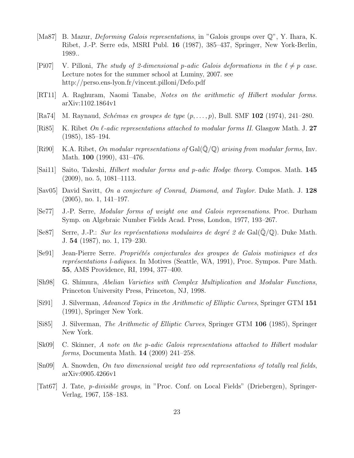- <span id="page-22-15"></span>[Ma87] B. Mazur, *Deforming Galois representations*, in "Galois groups over  $\mathbb{Q}$ ", Y. Ihara, K. Ribet, J.-P. Serre eds, MSRI Publ. 16 (1987), 385–437, Springer, New York-Berlin, 1989..
- <span id="page-22-16"></span>[Pi07] V. Pilloni, The study of 2-dimensional p-adic Galois deformations in the  $\ell \neq p$  case. Lecture notes for the summer school at Luminy, 2007. see http://perso.ens-lyon.fr/vincent.pilloni/Defo.pdf
- <span id="page-22-6"></span>[RT11] A. Raghuram, Naomi Tanabe, Notes on the arithmetic of Hilbert modular forms. arXiv:1102.1864v1
- <span id="page-22-14"></span>[Ra74] M. Raynaud, *Schémas en groupes de type*  $(p, \ldots, p)$ , Bull. SMF 102 (1974), 241–280.
- <span id="page-22-9"></span>[Ri85] K. Ribet On  $\ell$ -adic representations attached to modular forms II. Glasgow Math. J. 27 (1985), 185–194.
- <span id="page-22-2"></span>[Ri90] K.A. Ribet, On modular representations of  $Gal(Q/Q)$  arising from modular forms, Inv. Math. **100** (1990), 431–476.
- <span id="page-22-8"></span>[Sai11] Saito, Takeshi, Hilbert modular forms and p-adic Hodge theory. Compos. Math. 145 (2009), no. 5, 1081–1113.
- <span id="page-22-12"></span>[Sav05] David Savitt, On a conjecture of Conrad, Diamond, and Taylor. Duke Math. J. 128 (2005), no. 1, 141–197.
- <span id="page-22-10"></span>[Se77] J.-P. Serre, Modular forms of weight one and Galois represenations. Proc. Durham Symp. on Algebraic Number Fields Acad. Press, London, 1977, 193–267.
- <span id="page-22-3"></span>[Se87] Serre, J.-P.: Sur les représentations modulaires de degré 2 de Gal $(\mathbb{Q}/\mathbb{Q})$ . Duke Math. J. 54 (1987), no. 1, 179–230.
- <span id="page-22-11"></span>[Se91] Jean-Pierre Serre. Propriétés conjecturales des groupes de Galois motiviques et des représentations l-adiques. In Motives (Seattle, WA, 1991), Proc. Sympos. Pure Math. 55, AMS Providence, RI, 1994, 377–400.
- <span id="page-22-1"></span>[Sh98] G. Shimura, Abelian Varieties with Complex Multiplication and Modular Functions, Princeton University Press, Princeton, NJ, 1998.
- <span id="page-22-0"></span>[Si91] J. Silverman, Advanced Topics in the Arithmetic of Elliptic Curves, Springer GTM 151 (1991), Springer New York.
- <span id="page-22-5"></span>[Si85] J. Silverman, The Arithmetic of Elliptic Curves, Springer GTM 106 (1985), Springer New York.
- <span id="page-22-7"></span>[Sk09] C. Skinner, A note on the p-adic Galois representations attached to Hilbert modular forms, Documenta Math. 14 (2009) 241–258.
- <span id="page-22-4"></span>[Sn09] A. Snowden, On two dimensional weight two odd representations of totally real fields, arXiv:0905.4266v1
- <span id="page-22-13"></span>[Tat67] J. Tate, p-divisible groups, in "Proc. Conf. on Local Fields" (Driebergen), Springer-Verlag, 1967, 158–183.